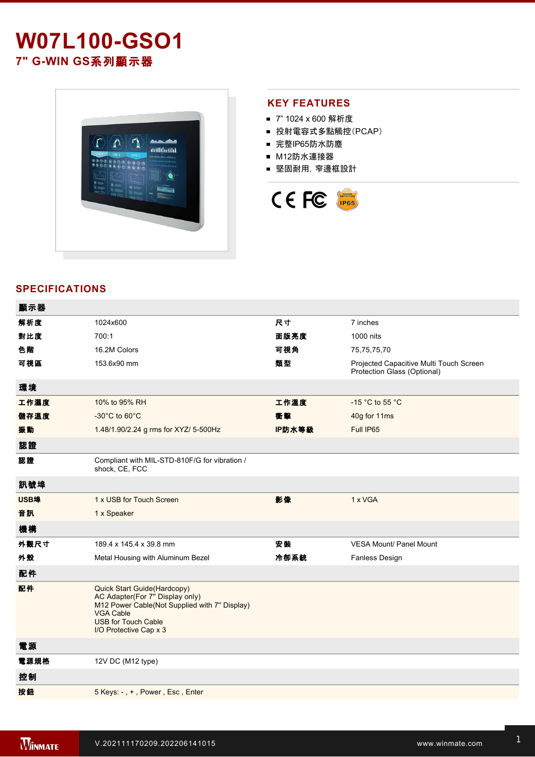# **W07L100GSO1 7" GWIN GS**系列顯示器



## **KEY FEATURES**

- 7" 1024 x 600 解析度
- 投射電容式多點觸控(PCAP)
- 完整IP65防水防塵
- M12防水連接器
- 堅固耐用,窄邊框設計



# **SPECIFICATIONS**

| 顯示器  |                                                                                                                                                                                             |        |                                                                        |
|------|---------------------------------------------------------------------------------------------------------------------------------------------------------------------------------------------|--------|------------------------------------------------------------------------|
| 解析度  | 1024x600                                                                                                                                                                                    | 尺寸     | 7 inches                                                               |
| 對比度  | 700:1                                                                                                                                                                                       | 面版亮度   | 1000 nits                                                              |
| 色階   | 16.2M Colors                                                                                                                                                                                | 可視角    | 75,75,75,70                                                            |
| 可視區  | 153.6x90 mm                                                                                                                                                                                 | 類型     | Projected Capacitive Multi Touch Screen<br>Protection Glass (Optional) |
| 環境   |                                                                                                                                                                                             |        |                                                                        |
| 工作濕度 | 10% to 95% RH                                                                                                                                                                               | 工作溫度   | -15 °C to 55 °C                                                        |
| 儲存溫度 | $-30^{\circ}$ C to 60 $^{\circ}$ C                                                                                                                                                          | 衝擊     | 40g for 11ms                                                           |
| 振動   | 1.48/1.90/2.24 g rms for XYZ/ 5-500Hz                                                                                                                                                       | IP防水等級 | Full IP65                                                              |
| 認證   |                                                                                                                                                                                             |        |                                                                        |
| 認證   | Compliant with MIL-STD-810F/G for vibration /<br>shock, CE, FCC                                                                                                                             |        |                                                                        |
| 訊號埠  |                                                                                                                                                                                             |        |                                                                        |
| USB埠 | 1 x USB for Touch Screen                                                                                                                                                                    | 影像     | 1 x VGA                                                                |
| 音訊   | 1 x Speaker                                                                                                                                                                                 |        |                                                                        |
| 機構   |                                                                                                                                                                                             |        |                                                                        |
| 外觀尺寸 | 189.4 x 145.4 x 39.8 mm                                                                                                                                                                     | 安装     | <b>VESA Mount/ Panel Mount</b>                                         |
| 外殼   | Metal Housing with Aluminum Bezel                                                                                                                                                           | 冷卻系統   | Fanless Design                                                         |
| 配件   |                                                                                                                                                                                             |        |                                                                        |
| 配件   | Quick Start Guide(Hardcopy)<br>AC Adapter(For 7" Display only)<br>M12 Power Cable(Not Supplied with 7" Display)<br><b>VGA Cable</b><br><b>USB for Touch Cable</b><br>I/O Protective Cap x 3 |        |                                                                        |
| 電源   |                                                                                                                                                                                             |        |                                                                        |
| 電源規格 | 12V DC (M12 type)                                                                                                                                                                           |        |                                                                        |
| 控制   |                                                                                                                                                                                             |        |                                                                        |
| 按鈕   | 5 Keys: -, +, Power, Esc, Enter                                                                                                                                                             |        |                                                                        |